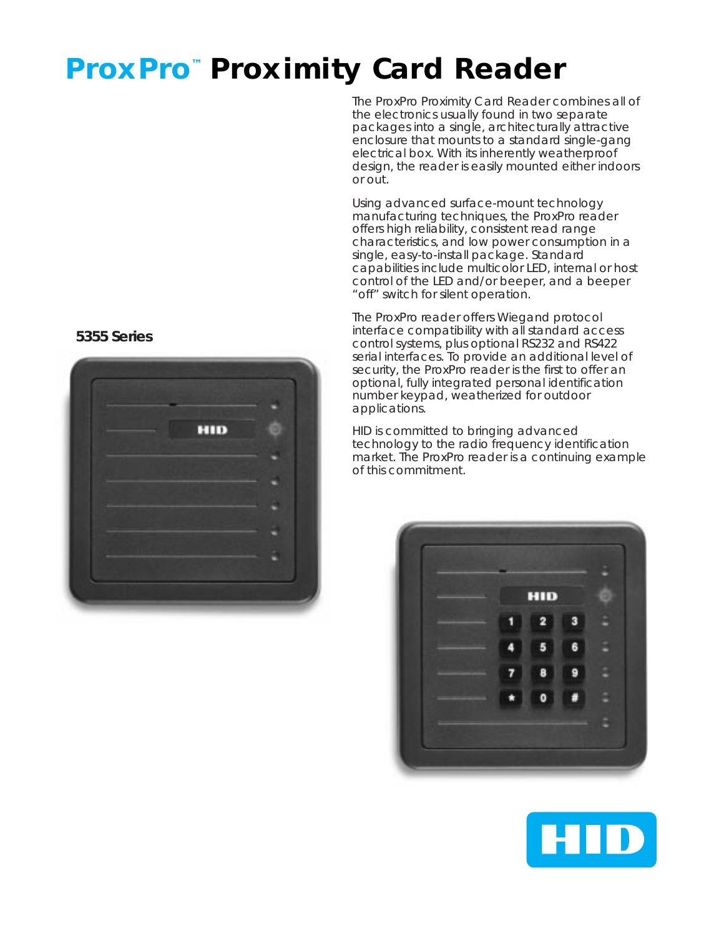# **ProxPro™ Proximity Card Reader**

The ProxPro Proximity Card Reader combines all of the electronics usually found in two separate packages into a single, architecturally attractive enclosure that mounts to a standard single-gang electrical box. With its inherently weatherproof design, the reader is easily mounted either indoors or out.

Using advanced surface-mount technology manufacturing techniques, the ProxPro reader offers high reliability, consistent read range characteristics, and low power consumption in a single, easy-to-install package. Standard capabilities include multicolor LED, internal or host control of the LED and/or beeper, and a beeper "off" switch for silent operation.

The ProxPro reader offers Wiegand protocol interface compatibility with all standard access control systems, plus optional RS232 and RS422 serial interfaces. To provide an additional level of security, the ProxPro reader is the first to offer an optional, fully integrated personal identification number keypad, weatherized for outdoor applications.

HID is committed to bringing advanced technology to the radio frequency identification market. The ProxPro reader is a continuing example of this commitment.





## **5355 Series**

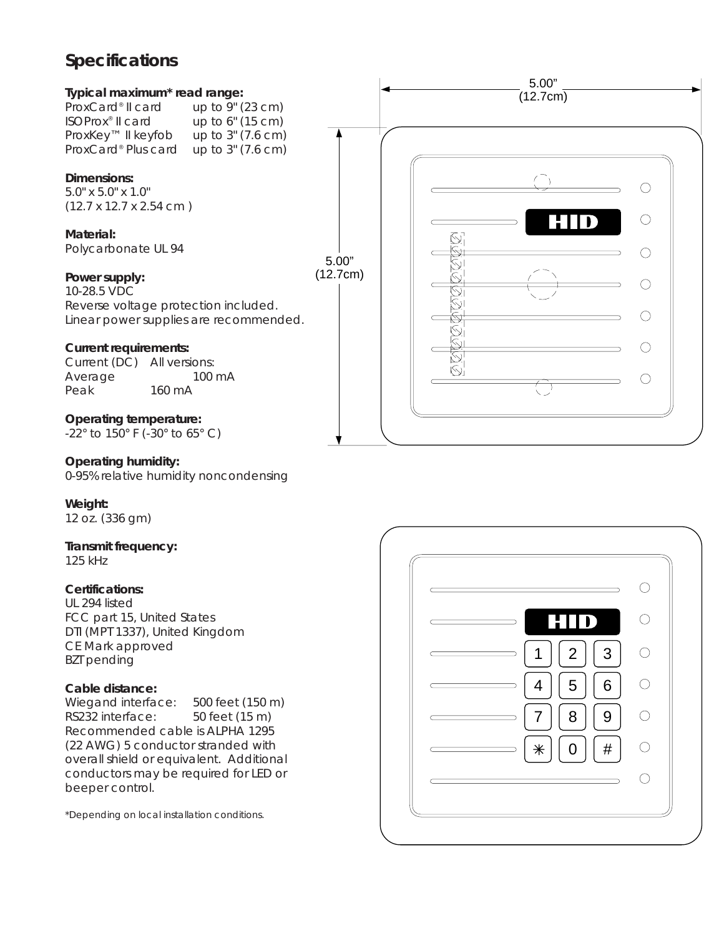# **Specifications**



0-95% relative humidity noncondensing

## **Weight:**

12 oz. (336 gm)

# **Transmit frequency:**

125 kHz

## **Certifications:**

UL 294 listed FCC part 15, United States DTI (MPT 1337), United Kingdom CE Mark approved BZT pending

## **Cable distance:**

Wiegand interface: 500 feet (150 m) RS232 interface: 50 feet (15 m) Recommended cable is ALPHA 1295 (22 AWG) 5 conductor stranded with overall shield or equivalent. Additional conductors may be required for LED or beeper control.

\*Depending on local installation conditions.

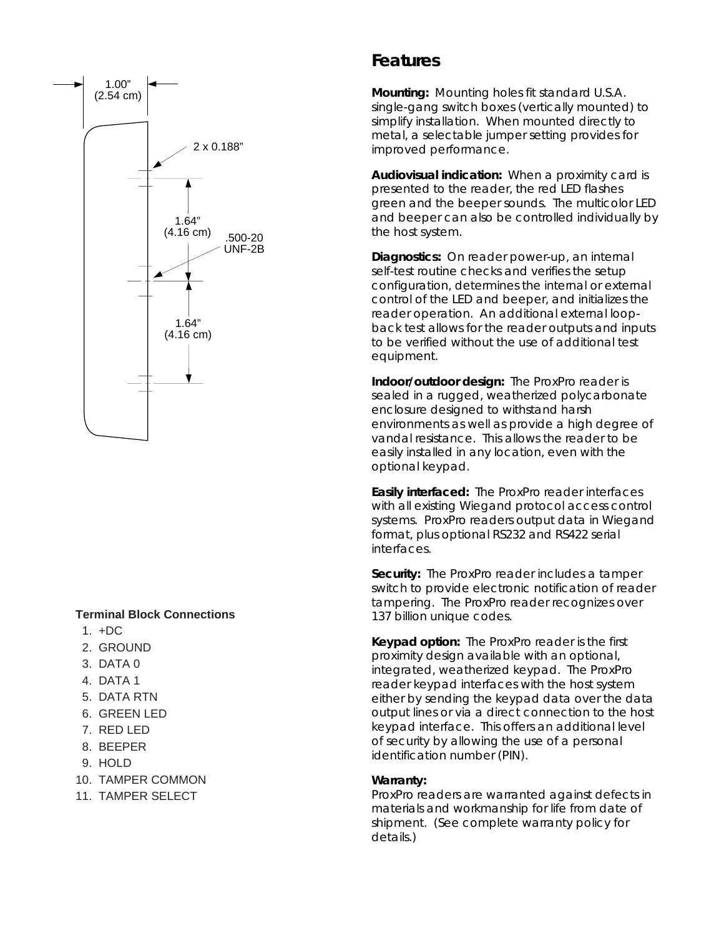

#### **Terminal Block Connections**

- 1. +DC
- 2. GROUND
- 3. DATA 0
- 4. DATA 1
- 5. DATA RTN
- 6. GREEN LED
- 7. RED LED
- 8. BEEPER
- 9. HOLD
- 10. TAMPER COMMON
- 11. TAMPER SELECT

# **Features**

**Mounting:** Mounting holes fit standard U.S.A. single-gang switch boxes (vertically mounted) to simplify installation. When mounted directly to metal, a selectable jumper setting provides for improved performance.

**Audiovisual indication:** When a proximity card is presented to the reader, the red LED flashes green and the beeper sounds. The multicolor LED and beeper can also be controlled individually by the host system.

**Diagnostics:** On reader power-up, an internal self-test routine checks and verifies the setup configuration, determines the internal or external control of the LED and beeper, and initializes the reader operation. An additional external loopback test allows for the reader outputs and inputs to be verified without the use of additional test equipment.

**Indoor/outdoor design:** The ProxPro reader is sealed in a rugged, weatherized polycarbonate enclosure designed to withstand harsh environments as well as provide a high degree of vandal resistance. This allows the reader to be easily installed in any location, even with the optional keypad.

**Easily interfaced:** The ProxPro reader interfaces with all existing Wiegand protocol access control systems. ProxPro readers output data in Wiegand format, plus optional RS232 and RS422 serial interfaces.

**Security:** The ProxPro reader includes a tamper switch to provide electronic notification of reader tampering. The ProxPro reader recognizes over 137 billion unique codes.

**Keypad option:** The ProxPro reader is the first proximity design available with an optional, integrated, weatherized keypad. The ProxPro reader keypad interfaces with the host system either by sending the keypad data over the data output lines or via a direct connection to the host keypad interface. This offers an additional level of security by allowing the use of a personal identification number (PIN).

#### **Warranty:**

ProxPro readers are warranted against defects in materials and workmanship for life from date of shipment. (See complete warranty policy for details.)